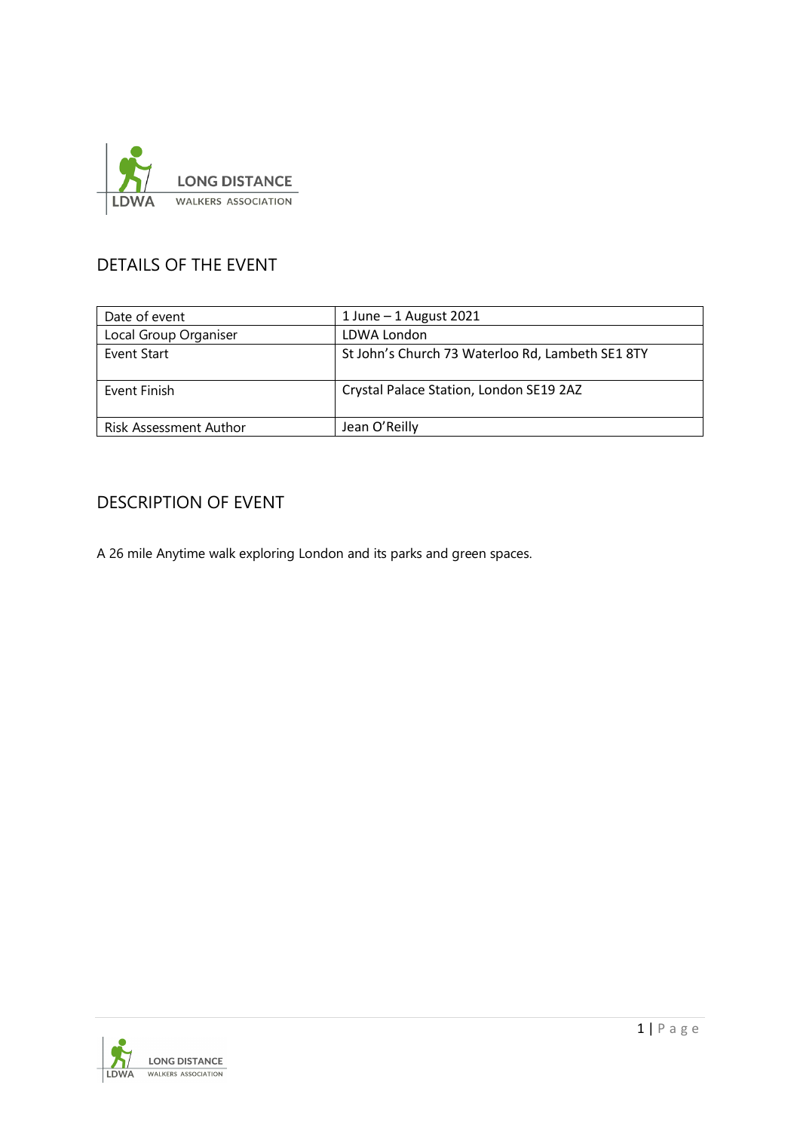

### DETAILS OF THE EVENT

| Date of event          | 1 June $-$ 1 August 2021                         |  |  |  |
|------------------------|--------------------------------------------------|--|--|--|
| Local Group Organiser  | LDWA London                                      |  |  |  |
| Event Start            | St John's Church 73 Waterloo Rd, Lambeth SE1 8TY |  |  |  |
| Event Finish           | Crystal Palace Station, London SE19 2AZ          |  |  |  |
| Risk Assessment Author | Jean O'Reilly                                    |  |  |  |

#### DESCRIPTION OF EVENT

A 26 mile Anytime walk exploring London and its parks and green spaces.

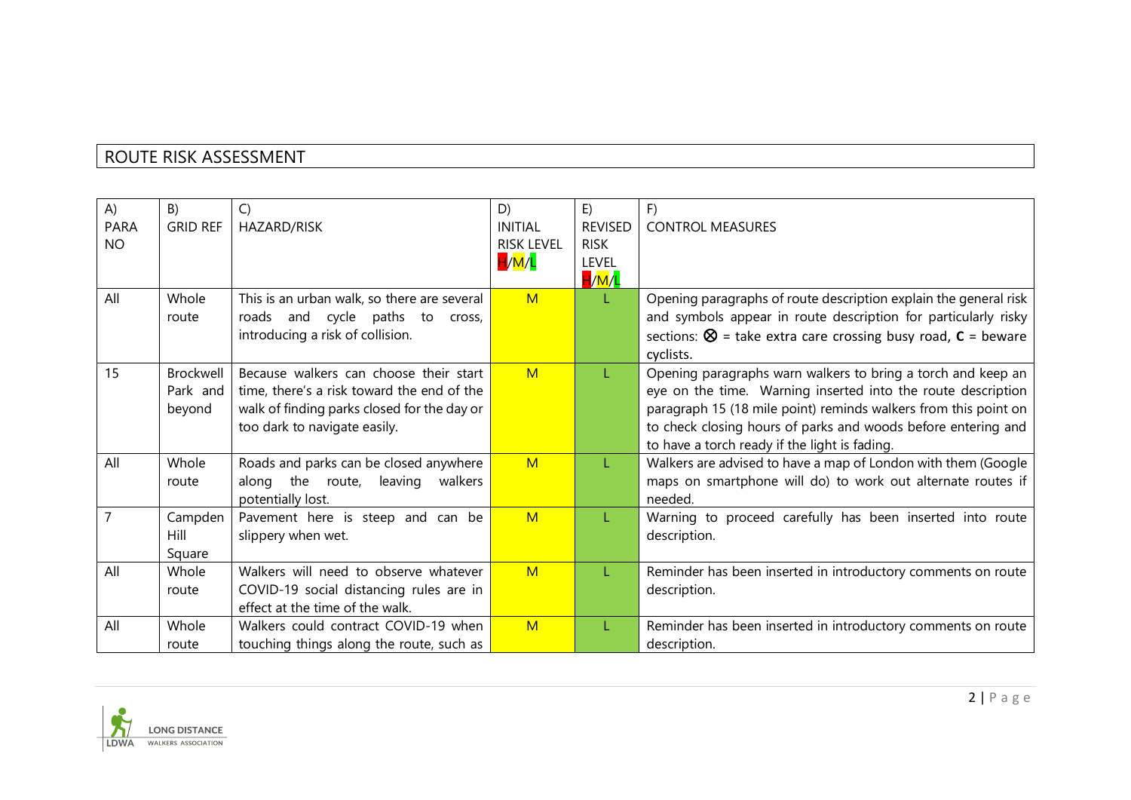## ROUTE RISK ASSESSMENT

| A)          | B)               | C)                                          | D)                | E)             | F)                                                                     |
|-------------|------------------|---------------------------------------------|-------------------|----------------|------------------------------------------------------------------------|
| <b>PARA</b> | <b>GRID REF</b>  | HAZARD/RISK                                 | INITIAI           | <b>REVISED</b> | <b>CONTROL MEASURES</b>                                                |
| <b>NO</b>   |                  |                                             | <b>RISK LEVEL</b> | <b>RISK</b>    |                                                                        |
|             |                  |                                             | H/M/L             | <b>LEVEL</b>   |                                                                        |
|             |                  |                                             |                   | H/M/L          |                                                                        |
| All         | Whole            | This is an urban walk, so there are several | M                 | L              | Opening paragraphs of route description explain the general risk       |
|             | route            | roads and cycle paths to cross,             |                   |                | and symbols appear in route description for particularly risky         |
|             |                  | introducing a risk of collision.            |                   |                | sections: $\otimes$ = take extra care crossing busy road, $c$ = beware |
|             |                  |                                             |                   |                | cyclists.                                                              |
| 15          | <b>Brockwell</b> | Because walkers can choose their start      | M                 | L              | Opening paragraphs warn walkers to bring a torch and keep an           |
|             | Park and         | time, there's a risk toward the end of the  |                   |                | eye on the time. Warning inserted into the route description           |
|             | beyond           | walk of finding parks closed for the day or |                   |                | paragraph 15 (18 mile point) reminds walkers from this point on        |
|             |                  | too dark to navigate easily.                |                   |                | to check closing hours of parks and woods before entering and          |
|             |                  |                                             |                   |                | to have a torch ready if the light is fading.                          |
| All         | Whole            | Roads and parks can be closed anywhere      | M                 | L              | Walkers are advised to have a map of London with them (Google          |
|             | route            | along the route,<br>leaving<br>walkers      |                   |                | maps on smartphone will do) to work out alternate routes if            |
|             |                  | potentially lost.                           |                   |                | needed.                                                                |
|             | Campden          | Pavement here is steep and can be           | M                 |                | Warning to proceed carefully has been inserted into route              |
|             | Hill             | slippery when wet.                          |                   |                | description.                                                           |
|             | Square           |                                             |                   |                |                                                                        |
| All         | Whole            | Walkers will need to observe whatever       | M                 | L              | Reminder has been inserted in introductory comments on route           |
|             | route            | COVID-19 social distancing rules are in     |                   |                | description.                                                           |
|             |                  | effect at the time of the walk.             |                   |                |                                                                        |
| All         | Whole            | Walkers could contract COVID-19 when        | M                 | T.             | Reminder has been inserted in introductory comments on route           |
|             | route            | touching things along the route, such as    |                   |                | description.                                                           |

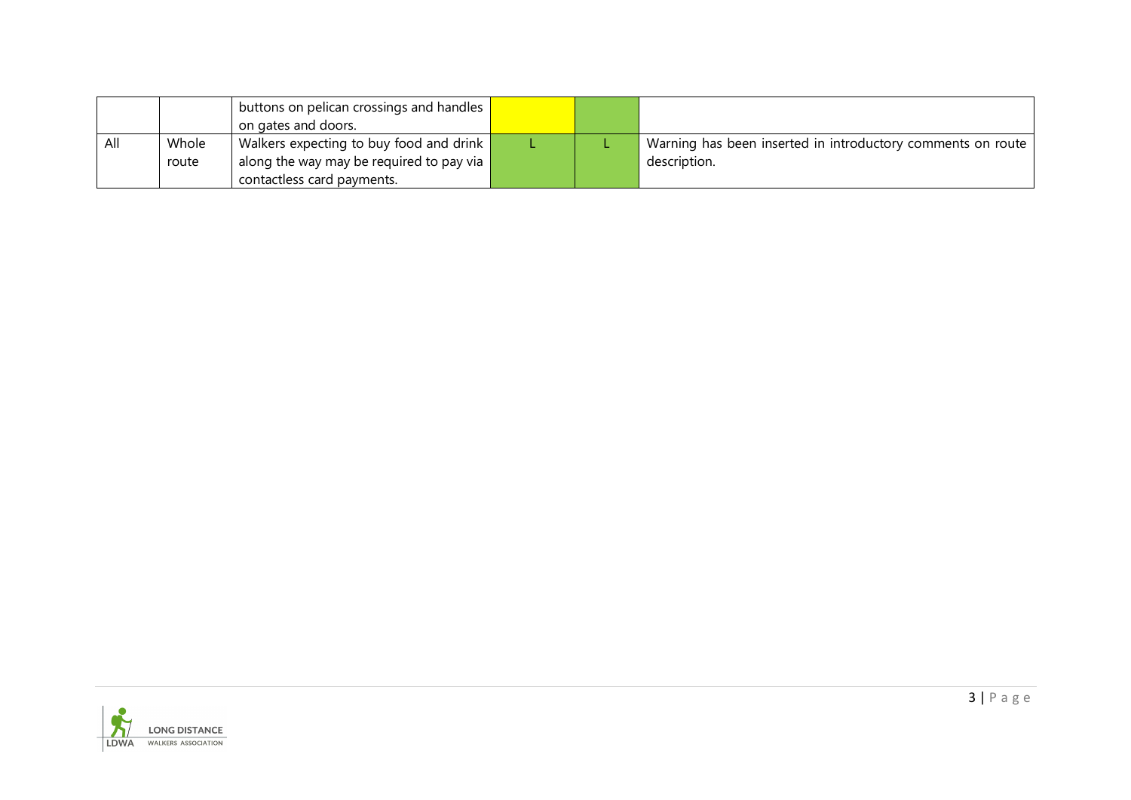|     |       | buttons on pelican crossings and handles $\ $<br>on gates and doors. |  |                                                             |
|-----|-------|----------------------------------------------------------------------|--|-------------------------------------------------------------|
| All | Whole | Walkers expecting to buy food and drink $\blacksquare$               |  | Warning has been inserted in introductory comments on route |
|     | route | I along the way may be required to pay via                           |  | description.                                                |
|     |       | contactless card payments.                                           |  |                                                             |